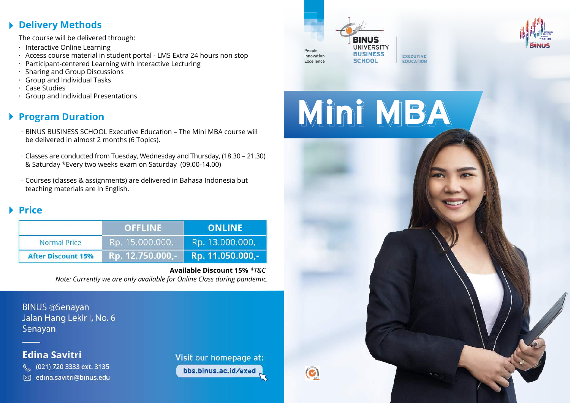# **Delivery Methods**

The course will be delivered through:

- $\,\cdot\,$  Interactive Online Learning
- $\,\cdot\,$  Access course material in student portal LMS Extra 24 hours non stop
- Participant-centered Learning with Interactive Lecturing ·
- $\,\cdot\,$  Sharing and Group Discussions
- Group and Individual Tasks ·
- Case Studies ·
- Group and Individual Presentations ·

# **Program Duration**

- BINUS BUSINESS SCHOOL Executive Education The Mini MBA course will · be delivered in almost 2 months (6 Topics).
- Classes are conducted from Tuesday, Wednesday and Thursday, (18.30 21.30) · & Saturday \*Every two weeks exam on Saturday (09.00-14.00)
- $\cdot$  Courses (classes & assignments) are delivered in Bahasa Indonesia but teaching materials are in English.

# **Price**

|                           | <b>OFFLINE</b>   | <b>ONLINE</b>    |
|---------------------------|------------------|------------------|
| <b>Normal Price</b>       | Rp. 15.000.000,- | Rp. 13.000.000,- |
| <b>After Discount 15%</b> | Rp. 12.750.000,- | Rp. 11.050.000,- |

#### **Available Discount 15%** *\*T&C Note: Currently we are only available for Online Class during pandemic.*

**BINUS @Senayan** Jalan Hang Lekir I, No. 6 Senayan

# **Edina Savitri**

(021) 720 3333 ext. 3135 ⊠ edina.savitri@binus.edu Visit our homepage at: bbs.binus.ac.id/exed





Mini MBA

**EXECUTIV** 

**EDUCATIO**